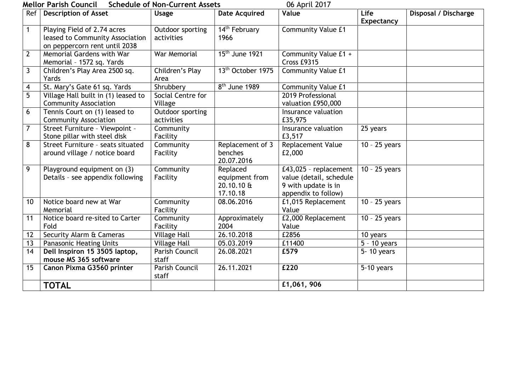## **Mellor Parish Council Schedule of Non-Current Assets** 06 April 2017

| Ref            | וטוריווטו רמו ואון כטעווכונ<br><b>Description of Asset</b>                                      | <b>SCITEDING OF RUIT-CUITEIR ASSELS</b><br><b>Usage</b> | <b>Date Acquired</b>                                 | $00$ April 2017<br>Value                                                                       | Life                       | Disposal / Discharge |
|----------------|-------------------------------------------------------------------------------------------------|---------------------------------------------------------|------------------------------------------------------|------------------------------------------------------------------------------------------------|----------------------------|----------------------|
|                |                                                                                                 |                                                         |                                                      |                                                                                                | <b>Expectancy</b>          |                      |
| $\mathbf{1}$   | Playing Field of 2.74 acres<br>leased to Community Association<br>on peppercorn rent until 2038 | Outdoor sporting<br>activities                          | 14 <sup>th</sup> February<br>1966                    | <b>Community Value £1</b>                                                                      |                            |                      |
| $\overline{2}$ | Memorial Gardens with War<br>Memorial - 1572 sq. Yards                                          | War Memorial                                            | 15 <sup>th</sup> June 1921                           | Community Value £1 +<br>Cross £9315                                                            |                            |                      |
| $\overline{3}$ | Children's Play Area 2500 sq.<br>Yards                                                          | Children's Play<br>Area                                 | 13 <sup>th</sup> October 1975                        | <b>Community Value £1</b>                                                                      |                            |                      |
| $\overline{4}$ | St. Mary's Gate 61 sq. Yards                                                                    | Shrubberv                                               | $8th$ June 1989                                      | <b>Community Value £1</b>                                                                      |                            |                      |
| $\overline{5}$ | Village Hall built in (1) leased to<br><b>Community Association</b>                             | Social Centre for<br>Village                            |                                                      | 2019 Professional<br>valuation £950,000                                                        |                            |                      |
| 6              | Tennis Court on (1) leased to<br><b>Community Association</b>                                   | Outdoor sporting<br>activities                          |                                                      | Insurance valuation<br>£35,975                                                                 |                            |                      |
| $\overline{7}$ | Street Furniture - Viewpoint -<br>Stone pillar with steel disk                                  | Community<br>Facility                                   |                                                      | Insurance valuation<br>£3,517                                                                  | 25 years                   |                      |
| $\overline{8}$ | Street Furniture - seats situated<br>around village / notice board                              | Community<br>Facility                                   | Replacement of 3<br>benches<br>20.07.2016            | <b>Replacement Value</b><br>£2,000                                                             | $\overline{10}$ - 25 years |                      |
| 9              | Playground equipment on (3)<br>Details - see appendix following                                 | Community<br>Facility                                   | Replaced<br>equipment from<br>20.10.10 &<br>17.10.18 | £43,025 - replacement<br>value (detail, schedule<br>9 with update is in<br>appendix to follow) | $10 - 25$ years            |                      |
| 10             | Notice board new at War<br>Memorial                                                             | Community<br>Facility                                   | 08.06.2016                                           | £1,015 Replacement<br>Value                                                                    | $10 - 25$ years            |                      |
| 11             | Notice board re-sited to Carter<br>Fold                                                         | Community<br>Facility                                   | Approximately<br>2004                                | £2,000 Replacement<br>Value                                                                    | $10 - 25$ years            |                      |
| 12             | Security Alarm & Cameras                                                                        | <b>Village Hall</b>                                     | 26.10.2018                                           | £2856                                                                                          | 10 years                   |                      |
| 13             | <b>Panasonic Heating Units</b>                                                                  | <b>Village Hall</b>                                     | 05.03.2019                                           | £11400                                                                                         | $5 - 10$ years             |                      |
| 14             | Dell Inspiron 15 3505 laptop,<br>mouse MS 365 software                                          | Parish Council<br>staff                                 | 26.08.2021                                           | £579                                                                                           | 5-10 years                 |                      |
| 15             | Canon Pixma G3560 printer                                                                       | Parish Council<br>staff                                 | 26.11.2021                                           | £220                                                                                           | 5-10 years                 |                      |
|                | <b>TOTAL</b>                                                                                    |                                                         |                                                      | £1,061,906                                                                                     |                            |                      |